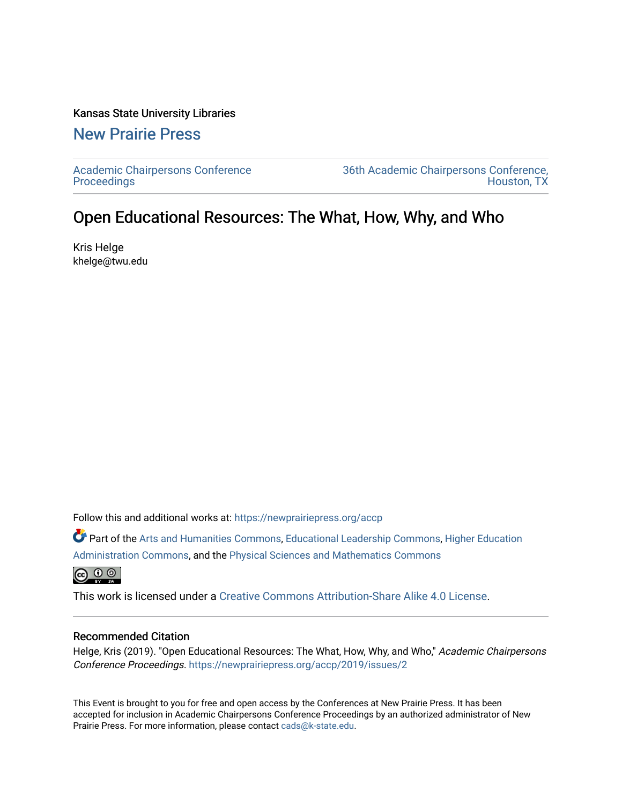## Kansas State University Libraries

## [New Prairie Press](https://newprairiepress.org/)

[Academic Chairpersons Conference](https://newprairiepress.org/accp)  **Proceedings** 

[36th Academic Chairpersons Conference,](https://newprairiepress.org/accp/2019)  [Houston, TX](https://newprairiepress.org/accp/2019) 

## Open Educational Resources: The What, How, Why, and Who

Kris Helge khelge@twu.edu

Follow this and additional works at: [https://newprairiepress.org/accp](https://newprairiepress.org/accp?utm_source=newprairiepress.org%2Faccp%2F2019%2Fissues%2F2&utm_medium=PDF&utm_campaign=PDFCoverPages) 

Part of the [Arts and Humanities Commons,](http://network.bepress.com/hgg/discipline/438?utm_source=newprairiepress.org%2Faccp%2F2019%2Fissues%2F2&utm_medium=PDF&utm_campaign=PDFCoverPages) [Educational Leadership Commons,](http://network.bepress.com/hgg/discipline/1230?utm_source=newprairiepress.org%2Faccp%2F2019%2Fissues%2F2&utm_medium=PDF&utm_campaign=PDFCoverPages) [Higher Education](http://network.bepress.com/hgg/discipline/791?utm_source=newprairiepress.org%2Faccp%2F2019%2Fissues%2F2&utm_medium=PDF&utm_campaign=PDFCoverPages) [Administration Commons,](http://network.bepress.com/hgg/discipline/791?utm_source=newprairiepress.org%2Faccp%2F2019%2Fissues%2F2&utm_medium=PDF&utm_campaign=PDFCoverPages) and the [Physical Sciences and Mathematics Commons](http://network.bepress.com/hgg/discipline/114?utm_source=newprairiepress.org%2Faccp%2F2019%2Fissues%2F2&utm_medium=PDF&utm_campaign=PDFCoverPages)

 $\bigcirc$   $\bigcirc$   $\circ$ 

This work is licensed under a [Creative Commons Attribution-Share Alike 4.0 License.](https://creativecommons.org/licenses/by-sa/4.0/)

## Recommended Citation

Helge, Kris (2019). "Open Educational Resources: The What, How, Why, and Who," Academic Chairpersons Conference Proceedings.<https://newprairiepress.org/accp/2019/issues/2>

This Event is brought to you for free and open access by the Conferences at New Prairie Press. It has been accepted for inclusion in Academic Chairpersons Conference Proceedings by an authorized administrator of New Prairie Press. For more information, please contact [cads@k-state.edu.](mailto:cads@k-state.edu)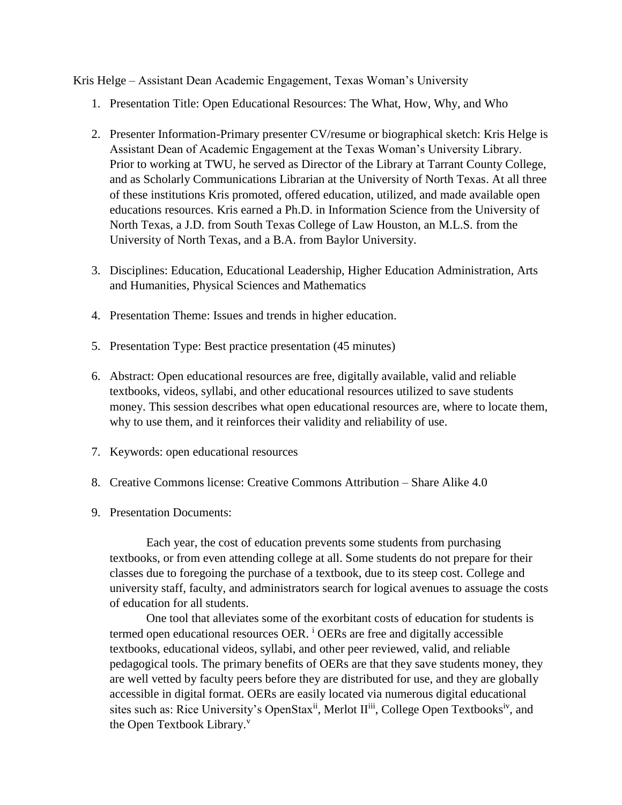Kris Helge – Assistant Dean Academic Engagement, Texas Woman's University

- 1. Presentation Title: Open Educational Resources: The What, How, Why, and Who
- 2. Presenter Information-Primary presenter CV/resume or biographical sketch: Kris Helge is Assistant Dean of Academic Engagement at the Texas Woman's University Library. Prior to working at TWU, he served as Director of the Library at Tarrant County College, and as Scholarly Communications Librarian at the University of North Texas. At all three of these institutions Kris promoted, offered education, utilized, and made available open educations resources. Kris earned a Ph.D. in Information Science from the University of North Texas, a J.D. from South Texas College of Law Houston, an M.L.S. from the University of North Texas, and a B.A. from Baylor University.
- 3. Disciplines: Education, Educational Leadership, Higher Education Administration, Arts and Humanities, Physical Sciences and Mathematics
- 4. Presentation Theme: Issues and trends in higher education.
- 5. Presentation Type: Best practice presentation (45 minutes)
- 6. Abstract: Open educational resources are free, digitally available, valid and reliable textbooks, videos, syllabi, and other educational resources utilized to save students money. This session describes what open educational resources are, where to locate them, why to use them, and it reinforces their validity and reliability of use.
- 7. Keywords: open educational resources
- 8. Creative Commons license: Creative Commons Attribution Share Alike 4.0
- 9. Presentation Documents:

Each year, the cost of education prevents some students from purchasing textbooks, or from even attending college at all. Some students do not prepare for their classes due to foregoing the purchase of a textbook, due to its steep cost. College and university staff, faculty, and administrators search for logical avenues to assuage the costs of education for all students.

One tool that alleviates some of the exorbitant costs of education for students is termed open educational resources OER. <sup>i</sup> OERs are free and digitally accessible textbooks, educational videos, syllabi, and other peer reviewed, valid, and reliable pedagogical tools. The primary benefits of OERs are that they save students money, they are well vetted by faculty peers before they are distributed for use, and they are globally accessible in digital format. OERs are easily located via numerous digital educational sites such as: Rice University's OpenStax<sup>ii</sup>, Merlot  $II^{iii}$ , College Open Textbooks<sup>iv</sup>, and the Open Textbook Library.<sup>v</sup>